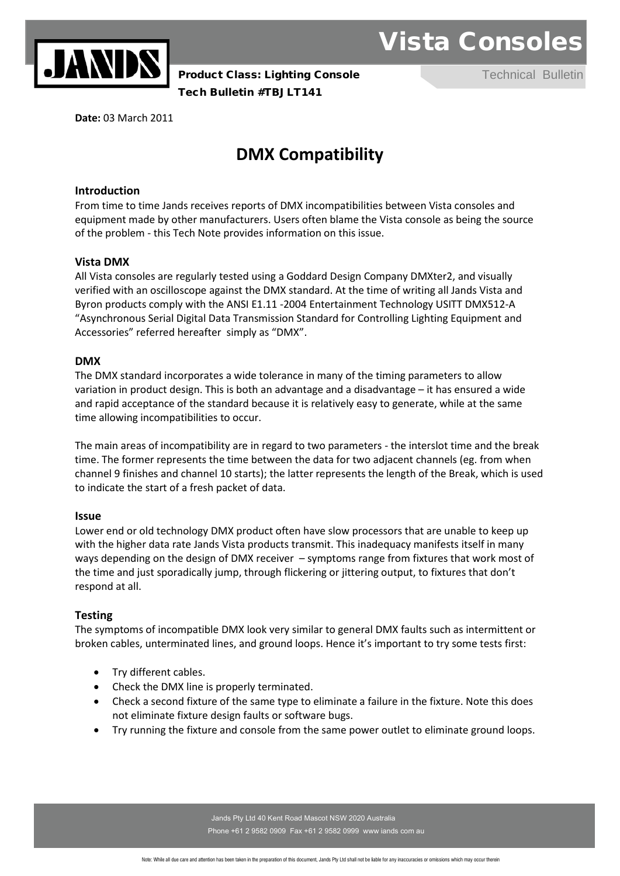

**Product Class: Lighting Console Technical Bulletin** Tech Bulletin #TBJLT141 Product Distribution of the Mulletin Product Distribution of the Product Distribution of  $P$ 

Vista Consoles

**Date:** 03 March 2011

## **DMX Compatibility**

#### **Introduction**

From time to time Jands receives reports of DMX incompatibilities between Vista consoles and equipment made by other manufacturers. Users often blame the Vista console as being the source of the problem - this Tech Note provides information on this issue.

#### **Vista DMX**

All Vista consoles are regularly tested using a Goddard Design Company DMXter2, and visually verified with an oscilloscope against the DMX standard. At the time of writing all Jands Vista and Byron products comply with the ANSI E1.11 -2004 Entertainment Technology USITT DMX512-A "Asynchronous Serial Digital Data Transmission Standard for Controlling Lighting Equipment and Accessories" referred hereafter simply as "DMX".

#### **DMX**

The DMX standard incorporates a wide tolerance in many of the timing parameters to allow variation in product design. This is both an advantage and a disadvantage – it has ensured a wide and rapid acceptance of the standard because it is relatively easy to generate, while at the same time allowing incompatibilities to occur.

The main areas of incompatibility are in regard to two parameters - the interslot time and the break time. The former represents the time between the data for two adjacent channels (eg. from when channel 9 finishes and channel 10 starts); the latter represents the length of the Break, which is used to indicate the start of a fresh packet of data.

#### **Issue**

Lower end or old technology DMX product often have slow processors that are unable to keep up with the higher data rate Jands Vista products transmit. This inadequacy manifests itself in many ways depending on the design of DMX receiver – symptoms range from fixtures that work most of the time and just sporadically jump, through flickering or jittering output, to fixtures that don't respond at all.

#### **Testing**

The symptoms of incompatible DMX look very similar to general DMX faults such as intermittent or broken cables, unterminated lines, and ground loops. Hence it's important to try some tests first:

- Try different cables.
- Check the DMX line is properly terminated.
- Check a second fixture of the same type to eliminate a failure in the fixture. Note this does not eliminate fixture design faults or software bugs.
- Try running the fixture and console from the same power outlet to eliminate ground loops.

Jands Pty Ltd 40 Kent Road Mascot NSW 2020 Australia Phone +61 2 9582 0909 Fax +61 2 9582 0999 www jands com au